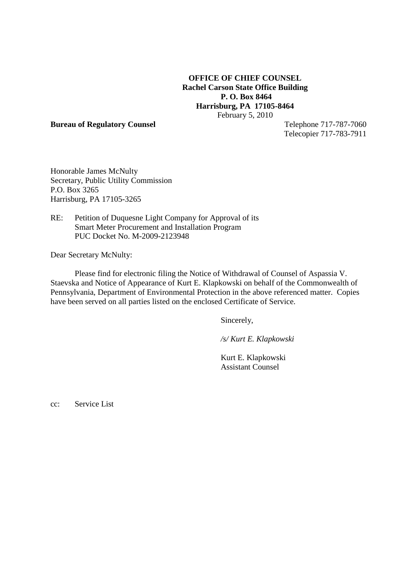# **OFFICE OF CHIEF COUNSEL Rachel Carson State Office Building P. O. Box 8464 Harrisburg, PA 17105-8464** February 5, 2010

#### **Bureau of Regulatory Counsel** Telephone 717-787-7060

Telecopier 717-783-7911

Honorable James McNulty Secretary, Public Utility Commission P.O. Box 3265 Harrisburg, PA 17105-3265

RE: Petition of Duquesne Light Company for Approval of its Smart Meter Procurement and Installation Program PUC Docket No. M-2009-2123948

Dear Secretary McNulty:

Please find for electronic filing the Notice of Withdrawal of Counsel of Aspassia V. Staevska and Notice of Appearance of Kurt E. Klapkowski on behalf of the Commonwealth of Pennsylvania, Department of Environmental Protection in the above referenced matter. Copies have been served on all parties listed on the enclosed Certificate of Service.

Sincerely,

*/s/ Kurt E. Klapkowski*

Kurt E. Klapkowski Assistant Counsel

cc: Service List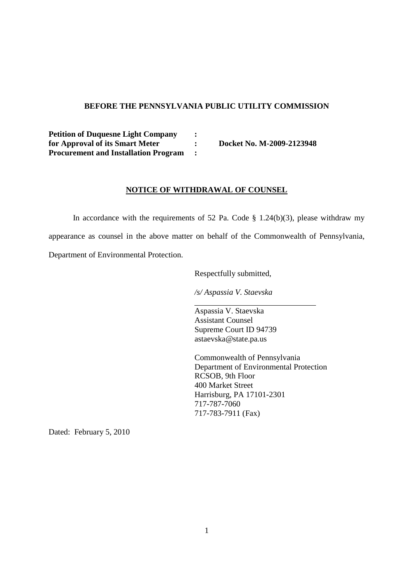## **BEFORE THE PENNSYLVANIA PUBLIC UTILITY COMMISSION**

**Petition of Duquesne Light Company : for Approval of its Smart Meter : Docket No. M-2009-2123948 Procurement and Installation Program :**

### **NOTICE OF WITHDRAWAL OF COUNSEL**

In accordance with the requirements of 52 Pa. Code  $\S$  1.24(b)(3), please withdraw my appearance as counsel in the above matter on behalf of the Commonwealth of Pennsylvania, Department of Environmental Protection.

Respectfully submitted,

*/s/ Aspassia V. Staevska*

Aspassia V. Staevska Assistant Counsel Supreme Court ID 94739 astaevska@state.pa.us

Commonwealth of Pennsylvania Department of Environmental Protection RCSOB, 9th Floor 400 Market Street Harrisburg, PA 17101-2301 717-787-7060 717-783-7911 (Fax)

Dated: February 5, 2010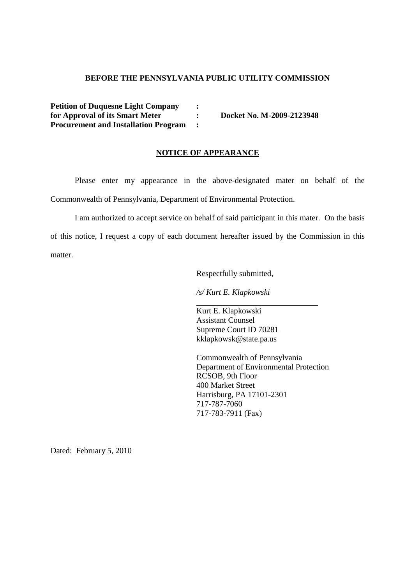## **BEFORE THE PENNSYLVANIA PUBLIC UTILITY COMMISSION**

**Petition of Duquesne Light Company : for Approval of its Smart Meter : Docket No. M-2009-2123948 Procurement and Installation Program :**

### **NOTICE OF APPEARANCE**

Please enter my appearance in the above-designated mater on behalf of the Commonwealth of Pennsylvania, Department of Environmental Protection.

I am authorized to accept service on behalf of said participant in this mater. On the basis of this notice, I request a copy of each document hereafter issued by the Commission in this matter.

Respectfully submitted,

*/s/ Kurt E. Klapkowski*

Kurt E. Klapkowski Assistant Counsel Supreme Court ID 70281 kklapkowsk@state.pa.us

Commonwealth of Pennsylvania Department of Environmental Protection RCSOB, 9th Floor 400 Market Street Harrisburg, PA 17101-2301 717-787-7060 717-783-7911 (Fax)

Dated: February 5, 2010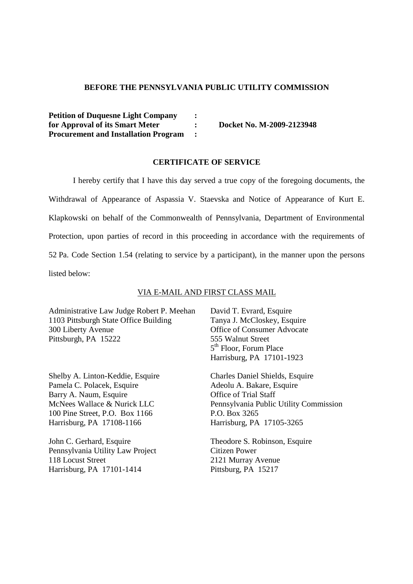## **BEFORE THE PENNSYLVANIA PUBLIC UTILITY COMMISSION**

**Petition of Duquesne Light Company : for Approval of its Smart Meter : Docket No. M-2009-2123948 Procurement and Installation Program :**

### **CERTIFICATE OF SERVICE**

I hereby certify that I have this day served a true copy of the foregoing documents, the Withdrawal of Appearance of Aspassia V. Staevska and Notice of Appearance of Kurt E. Klapkowski on behalf of the Commonwealth of Pennsylvania, Department of Environmental Protection, upon parties of record in this proceeding in accordance with the requirements of 52 Pa. Code Section 1.54 (relating to service by a participant), in the manner upon the persons listed below:

### VIA E-MAIL AND FIRST CLASS MAIL

Administrative Law Judge Robert P. Meehan 1103 Pittsburgh State Office Building 300 Liberty Avenue Pittsburgh, PA 15222

Shelby A. Linton-Keddie, Esquire Pamela C. Polacek, Esquire Barry A. Naum, Esquire McNees Wallace & Nurick LLC 100 Pine Street, P.O. Box 1166 Harrisburg, PA 17108-1166

John C. Gerhard, Esquire Pennsylvania Utility Law Project 118 Locust Street Harrisburg, PA 17101-1414

David T. Evrard, Esquire Tanya J. McCloskey, Esquire Office of Consumer Advocate 555 Walnut Street 5<sup>th</sup> Floor, Forum Place Harrisburg, PA 17101-1923

Charles Daniel Shields, Esquire Adeolu A. Bakare, Esquire Office of Trial Staff Pennsylvania Public Utility Commission P.O. Box 3265 Harrisburg, PA 17105-3265

Theodore S. Robinson, Esquire Citizen Power 2121 Murray Avenue Pittsburg, PA 15217